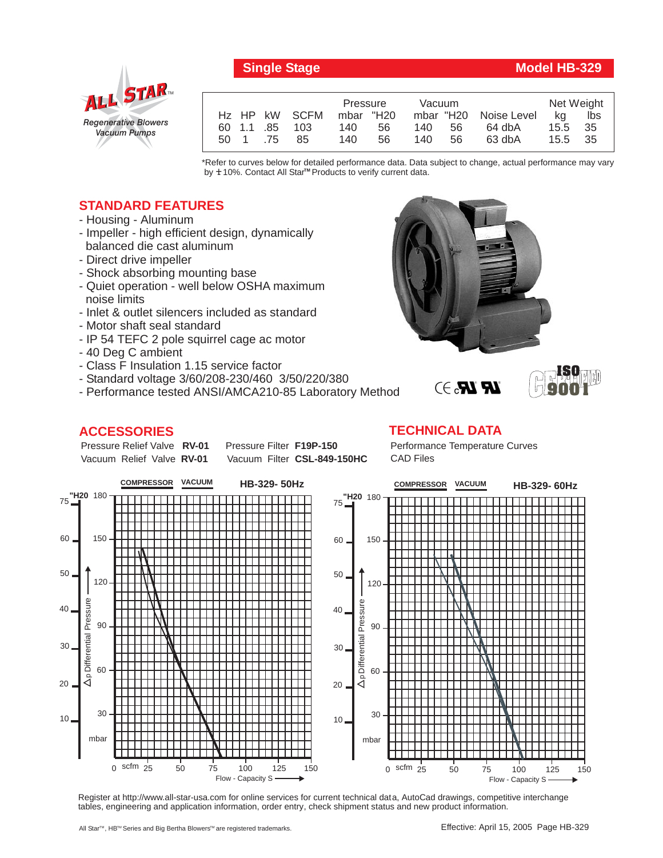

## **Single Stage Model HB-329**

**ISO 9001**

|      |     |                | Pressure  |    | Vacuum |           |             | Net Weight |      |
|------|-----|----------------|-----------|----|--------|-----------|-------------|------------|------|
|      |     | Hz HP kW SCFM  | mbar "H20 |    |        | mbar "H20 | Noise Level | ka         | lbs  |
|      |     | 60 1.1 .85 103 | 140       | 56 | 140.   | 56        | 64 dbA      | 15.5       | -35  |
| 50 1 | .75 | 85             | 140       | 56 | 140.   | 56        | 63 dbA      | 15.5       | - 35 |

\*Refer to curves below for detailed performance data. Data subject to change, actual performance may vary by **+** 10%. Contact All Star™ Products to verify current data.

## **STANDARD FEATURES**

- Housing Aluminum
- Impeller high efficient design, dynamically balanced die cast aluminum
- Direct drive impeller
- Shock absorbing mounting base
- Quiet operation well below OSHA maximum noise limits
- Inlet & outlet silencers included as standard
- Motor shaft seal standard
- IP 54 TEFC 2 pole squirrel cage ac motor
- 40 Deg C ambient
- Class F Insulation 1.15 service factor
- Standard voltage 3/60/208-230/460 3/50/220/380
- Performance tested ANSI/AMCA210-85 Laboratory Method

## **ACCESSORIES**

Pressure Relief Valve RV-01 Vacuum Relief Valve RV-01

**Pressure Filter F19P-150** Vacuum Filter CSL-849-150HC **TECHNICAL DATA** Performance Temperature Curves CAD Files

 $\mathbb{R}$   $\mathbb{R}$ . $\ni$ 



Register at http://www.all-star-usa.com for online services for current technical data, AutoCad drawings, competitive interchange tables, engineering and application information, order entry, check shipment status and new product information.

All Star™, HB™ Series and Big Bertha Blowers™ are registered trademarks.